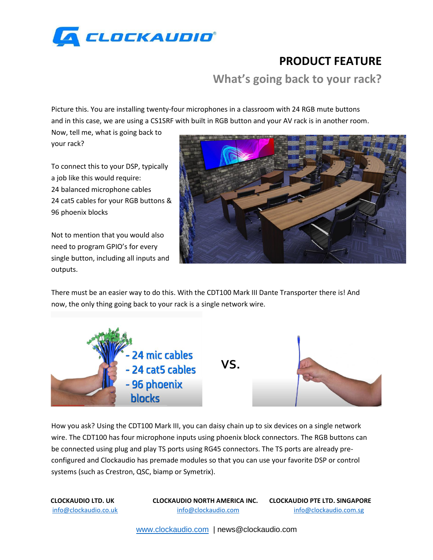

## **PRODUCT FEATURE**

**What's going back to your rack?**

Picture this. You are installing twenty-four microphones in a classroom with 24 RGB mute buttons and in this case, we are using a CS1SRF with built in RGB button and your AV rack is in another room.

Now, tell me, what is going back to your rack?

To connect this to your DSP, typically a job like this would require: 24 balanced microphone cables 24 cat5 cables for your RGB buttons & 96 phoenix blocks

Not to mention that you would also need to program GPIO's for every single button, including all inputs and outputs.



There must be an easier way to do this. With the CDT100 Mark III Dante Transporter there is! And now, the only thing going back to your rack is a single network wire.



How you ask? Using the CDT100 Mark III, you can daisy chain up to six devices on a single network wire. The CDT100 has four microphone inputs using phoenix block connectors. The RGB buttons can be connected using plug and play TS ports using RG45 connectors. The TS ports are already preconfigured and Clockaudio has premade modules so that you can use your favorite DSP or control systems (such as Crestron, QSC, biamp or Symetrix).

**CLOCKAUDIO LTD. UK CLOCKAUDIO NORTH AMERICA INC. CLOCKAUDIO PTE LTD. SINGAPORE**  info@clockaudio.co.uk info@clockaudio.com info@clockaudio.com.sg

[www.clockaudio.com](http://www.clockaudio.com/) | news@clockaudio.com